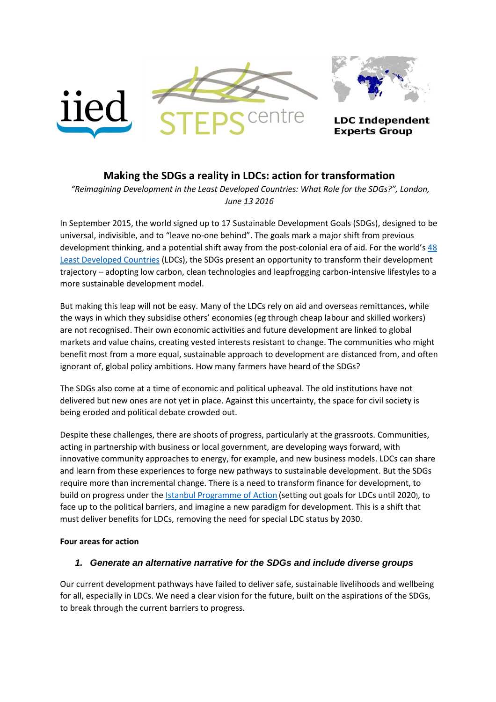

# **Making the SDGs a reality in LDCs: action for transformation**

*"Reimagining Development in the Least Developed Countries: What Role for the SDGs?", London, June 13 2016*

In September 2015, the world signed up to 17 Sustainable Development Goals (SDGs), designed to be universal, indivisible, and to "leave no-one behind". The goals mark a major shift from previous development thinking, and a potential shift away from the post-colonial era of aid. For the world's 48 [Least Developed Countries](http://www.un.org/en/development/desa/policy/cdp/ldc2/ldc_countries.shtml) (LDCs), the SDGs present an opportunity to transform their development trajectory – adopting low carbon, clean technologies and leapfrogging carbon-intensive lifestyles to a more sustainable development model.

But making this leap will not be easy. Many of the LDCs rely on aid and overseas remittances, while the ways in which they subsidise others' economies (eg through cheap labour and skilled workers) are not recognised. Their own economic activities and future development are linked to global markets and value chains, creating vested interests resistant to change. The communities who might benefit most from a more equal, sustainable approach to development are distanced from, and often ignorant of, global policy ambitions. How many farmers have heard of the SDGs?

The SDGs also come at a time of economic and political upheaval. The old institutions have not delivered but new ones are not yet in place. Against this uncertainty, the space for civil society is being eroded and political debate crowded out.

Despite these challenges, there are shoots of progress, particularly at the grassroots. Communities, acting in partnership with business or local government, are developing ways forward, with innovative community approaches to energy, for example, and new business models. LDCs can share and learn from these experiences to forge new pathways to sustainable development. But the SDGs require more than incremental change. There is a need to transform finance for development, to build on progress under the **Istanbul Programme of Action** (setting out goals for LDCs until 2020), to face up to the political barriers, and imagine a new paradigm for development. This is a shift that must deliver benefits for LDCs, removing the need for special LDC status by 2030.

### **Four areas for action**

### *1. Generate an alternative narrative for the SDGs and include diverse groups*

Our current development pathways have failed to deliver safe, sustainable livelihoods and wellbeing for all, especially in LDCs. We need a clear vision for the future, built on the aspirations of the SDGs, to break through the current barriers to progress.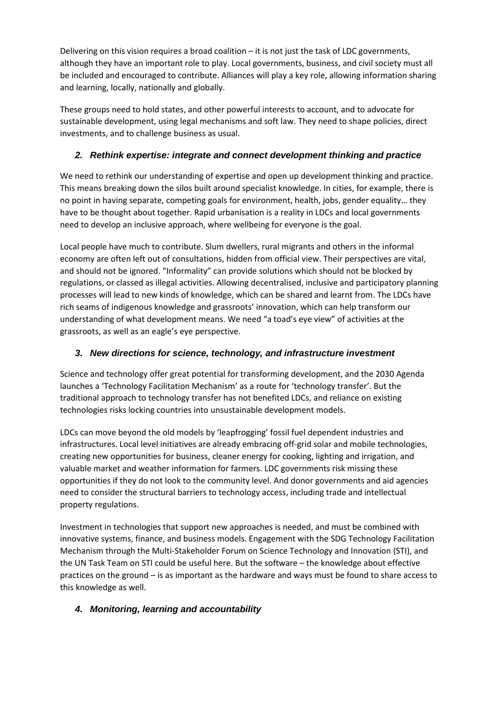Delivering on this vision requires a broad coalition – it is not just the task of LDC governments, although they have an important role to play. Local governments, business, and civil society must all be included and encouraged to contribute. Alliances will play a key role, allowing information sharing and learning, locally, nationally and globally.

These groups need to hold states, and other powerful interests to account, and to advocate for sustainable development, using legal mechanisms and soft law. They need to shape policies, direct investments, and to challenge business as usual.

## *2. Rethink expertise: integrate and connect development thinking and practice*

We need to rethink our understanding of expertise and open up development thinking and practice. This means breaking down the silos built around specialist knowledge. In cities, for example, there is no point in having separate, competing goals for environment, health, jobs, gender equality… they have to be thought about together. Rapid urbanisation is a reality in LDCs and local governments need to develop an inclusive approach, where wellbeing for everyone is the goal.

Local people have much to contribute. Slum dwellers, rural migrants and others in the informal economy are often left out of consultations, hidden from official view. Their perspectives are vital, and should not be ignored. "Informality" can provide solutions which should not be blocked by regulations, or classed as illegal activities. Allowing decentralised, inclusive and participatory planning processes will lead to new kinds of knowledge, which can be shared and learnt from. The LDCs have rich seams of indigenous knowledge and grassroots' innovation, which can help transform our understanding of what development means. We need "a toad's eye view" of activities at the grassroots, as well as an eagle's eye perspective.

## *3. New directions for science, technology, and infrastructure investment*

Science and technology offer great potential for transforming development, and the 2030 Agenda launches a 'Technology Facilitation Mechanism' as a route for 'technology transfer'. But the traditional approach to technology transfer has not benefited LDCs, and reliance on existing technologies risks locking countries into unsustainable development models.

LDCs can move beyond the old models by 'leapfrogging' fossil fuel dependent industries and infrastructures. Local level initiatives are already embracing off-grid solar and mobile technologies, creating new opportunities for business, cleaner energy for cooking, lighting and irrigation, and valuable market and weather information for farmers. LDC governments risk missing these opportunities if they do not look to the community level. And donor governments and aid agencies need to consider the structural barriers to technology access, including trade and intellectual property regulations.

Investment in technologies that support new approaches is needed, and must be combined with innovative systems, finance, and business models. Engagement with the SDG Technology Facilitation Mechanism through the Multi-Stakeholder Forum on Science Technology and Innovation (STI), and the UN Task Team on STI could be useful here. But the software – the knowledge about effective practices on the ground – is as important as the hardware and ways must be found to share access to this knowledge as well.

## *4. Monitoring, learning and accountability*